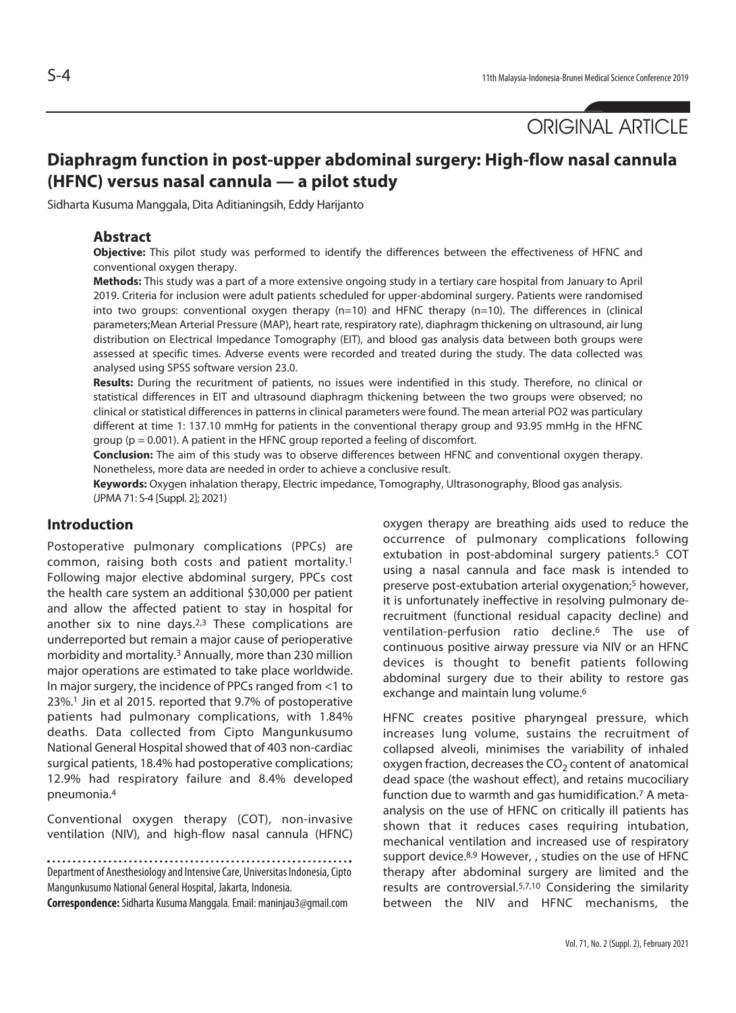# **Diaphragm function in post-upper abdominal surgery: High-flow nasal cannula (HFNC) versus nasal cannula — a pilot study**

Sidharta Kusuma Manggala, Dita Aditianingsih, Eddy Harijanto

# **Abstract**

**Objective:** This pilot study was performed to identify the differences between the effectiveness of HFNC and conventional oxygen therapy.

**Methods:** This study was a part of a more extensive ongoing study in a tertiary care hospital from January to April 2019. Criteria for inclusion were adult patients scheduled for upper-abdominal surgery. Patients were randomised into two groups: conventional oxygen therapy (n=10) and HFNC therapy (n=10). The differences in (clinical parameters;Mean Arterial Pressure (MAP), heart rate, respiratory rate), diaphragm thickening on ultrasound, air lung distribution on Electrical Impedance Tomography (EIT), and blood gas analysis data between both groups were assessed at specific times. Adverse events were recorded and treated during the study. The data collected was analysed using SPSS software version 23.0.

**Results:** During the recuritment of patients, no issues were indentified in this study. Therefore, no clinical or statistical differences in EIT and ultrasound diaphragm thickening between the two groups were observed; no clinical or statistical differences in patterns in clinical parameters were found. The mean arterial PO2 was particulary different at time 1: 137.10 mmHg for patients in the conventional therapy group and 93.95 mmHg in the HFNC group ( $p = 0.001$ ). A patient in the HFNC group reported a feeling of discomfort.

**Conclusion:** The aim of this study was to observe differences between HFNC and conventional oxygen therapy. Nonetheless, more data are needed in order to achieve a conclusive result.

**Keywords:** Oxygen inhalation therapy, Electric impedance, Tomography, Ultrasonography, Blood gas analysis. (JPMA 71: S-4 [Suppl. 2]; 2021)

# **Introduction**

Postoperative pulmonary complications (PPCs) are common, raising both costs and patient mortality.1 Following major elective abdominal surgery, PPCs cost the health care system an additional \$30,000 per patient and allow the affected patient to stay in hospital for another six to nine days. $2,3$  These complications are underreported but remain a major cause of perioperative morbidity and mortality.3 Annually, more than 230 million major operations are estimated to take place worldwide. In major surgery, the incidence of PPCs ranged from <1 to 23%.1 Jin et al 2015. reported that 9.7% of postoperative patients had pulmonary complications, with 1.84% deaths. Data collected from Cipto Mangunkusumo National General Hospital showed that of 403 non-cardiac surgical patients, 18.4% had postoperative complications; 12.9% had respiratory failure and 8.4% developed pneumonia.4

Conventional oxygen therapy (COT), non-invasive ventilation (NIV), and high-flow nasal cannula (HFNC)

Department of Anesthesiology and Intensive Care, Universitas Indonesia, Cipto Mangunkusumo National General Hospital, Jakarta, Indonesia.

**Correspondence:** Sidharta Kusuma Manggala. Email: maninjau3@gmail.com

oxygen therapy are breathing aids used to reduce the occurrence of pulmonary complications following extubation in post-abdominal surgery patients.<sup>5</sup> COT using a nasal cannula and face mask is intended to preserve post-extubation arterial oxygenation;<sup>5</sup> however, it is unfortunately ineffective in resolving pulmonary derecruitment (functional residual capacity decline) and ventilation-perfusion ratio decline.6 The use of continuous positive airway pressure via NIV or an HFNC devices is thought to benefit patients following abdominal surgery due to their ability to restore gas exchange and maintain lung volume.<sup>6</sup>

HFNC creates positive pharyngeal pressure, which increases lung volume, sustains the recruitment of collapsed alveoli, minimises the variability of inhaled oxygen fraction, decreases the  $CO<sub>2</sub>$  content of anatomical dead space (the washout effect), and retains mucociliary function due to warmth and gas humidification.7 A metaanalysis on the use of HFNC on critically ill patients has shown that it reduces cases requiring intubation, mechanical ventilation and increased use of respiratory support device.<sup>8,9</sup> However, , studies on the use of HFNC therapy after abdominal surgery are limited and the results are controversial.5,7,10 Considering the similarity between the NIV and HFNC mechanisms, the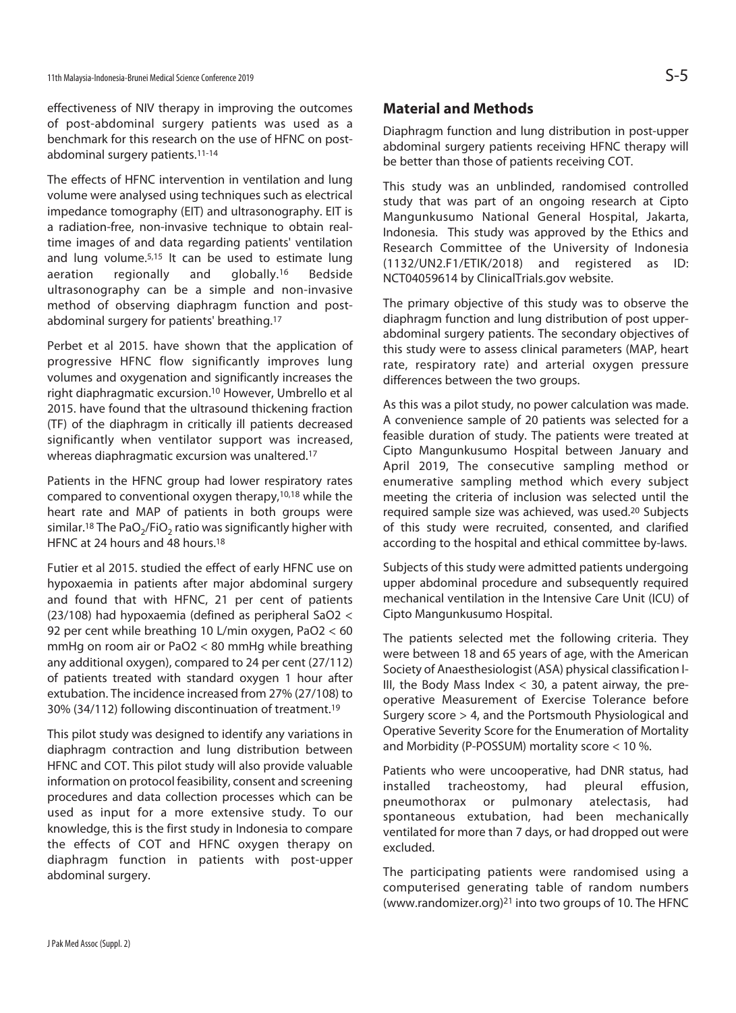effectiveness of NIV therapy in improving the outcomes of post-abdominal surgery patients was used as a benchmark for this research on the use of HFNC on postabdominal surgery patients.11-14

The effects of HFNC intervention in ventilation and lung volume were analysed using techniques such as electrical impedance tomography (EIT) and ultrasonography. EIT is a radiation-free, non-invasive technique to obtain realtime images of and data regarding patients' ventilation and lung volume.5,15 It can be used to estimate lung aeration regionally and globally.16 Bedside ultrasonography can be a simple and non-invasive method of observing diaphragm function and postabdominal surgery for patients' breathing.17

Perbet et al 2015. have shown that the application of progressive HFNC flow significantly improves lung volumes and oxygenation and significantly increases the right diaphragmatic excursion.10 However, Umbrello et al 2015. have found that the ultrasound thickening fraction (TF) of the diaphragm in critically ill patients decreased significantly when ventilator support was increased, whereas diaphragmatic excursion was unaltered.<sup>17</sup>

Patients in the HFNC group had lower respiratory rates compared to conventional oxygen therapy,10,18 while the heart rate and MAP of patients in both groups were similar.<sup>18</sup> The PaO<sub>2</sub>/FiO<sub>2</sub> ratio was significantly higher with HFNC at 24 hours and 48 hours.18

Futier et al 2015. studied the effect of early HFNC use on hypoxaemia in patients after major abdominal surgery and found that with HFNC, 21 per cent of patients (23/108) had hypoxaemia (defined as peripheral SaO2 < 92 per cent while breathing 10 L/min oxygen, PaO2 < 60 mmHg on room air or PaO2 < 80 mmHg while breathing any additional oxygen), compared to 24 per cent (27/112) of patients treated with standard oxygen 1 hour after extubation. The incidence increased from 27% (27/108) to 30% (34/112) following discontinuation of treatment.19

This pilot study was designed to identify any variations in diaphragm contraction and lung distribution between HFNC and COT. This pilot study will also provide valuable information on protocol feasibility, consent and screening procedures and data collection processes which can be used as input for a more extensive study. To our knowledge, this is the first study in Indonesia to compare the effects of COT and HFNC oxygen therapy on diaphragm function in patients with post-upper abdominal surgery.

# **Material and Methods**

Diaphragm function and lung distribution in post-upper abdominal surgery patients receiving HFNC therapy will be better than those of patients receiving COT.

This study was an unblinded, randomised controlled study that was part of an ongoing research at Cipto Mangunkusumo National General Hospital, Jakarta, Indonesia. This study was approved by the Ethics and Research Committee of the University of Indonesia (1132/UN2.F1/ETIK/2018) and registered as ID: NCT04059614 by ClinicalTrials.gov website.

The primary objective of this study was to observe the diaphragm function and lung distribution of post upperabdominal surgery patients. The secondary objectives of this study were to assess clinical parameters (MAP, heart rate, respiratory rate) and arterial oxygen pressure differences between the two groups.

As this was a pilot study, no power calculation was made. A convenience sample of 20 patients was selected for a feasible duration of study. The patients were treated at Cipto Mangunkusumo Hospital between January and April 2019, The consecutive sampling method or enumerative sampling method which every subject meeting the criteria of inclusion was selected until the required sample size was achieved, was used.20 Subjects of this study were recruited, consented, and clarified according to the hospital and ethical committee by-laws.

Subjects of this study were admitted patients undergoing upper abdominal procedure and subsequently required mechanical ventilation in the Intensive Care Unit (ICU) of Cipto Mangunkusumo Hospital.

The patients selected met the following criteria. They were between 18 and 65 years of age, with the American Society of Anaesthesiologist (ASA) physical classification I-III, the Body Mass Index  $<$  30, a patent airway, the preoperative Measurement of Exercise Tolerance before Surgery score > 4, and the Portsmouth Physiological and Operative Severity Score for the Enumeration of Mortality and Morbidity (P-POSSUM) mortality score < 10 %.

Patients who were uncooperative, had DNR status, had installed tracheostomy, had pleural effusion, pneumothorax or pulmonary atelectasis, had spontaneous extubation, had been mechanically ventilated for more than 7 days, or had dropped out were excluded.

The participating patients were randomised using a computerised generating table of random numbers (www.randomizer.org)21 into two groups of 10. The HFNC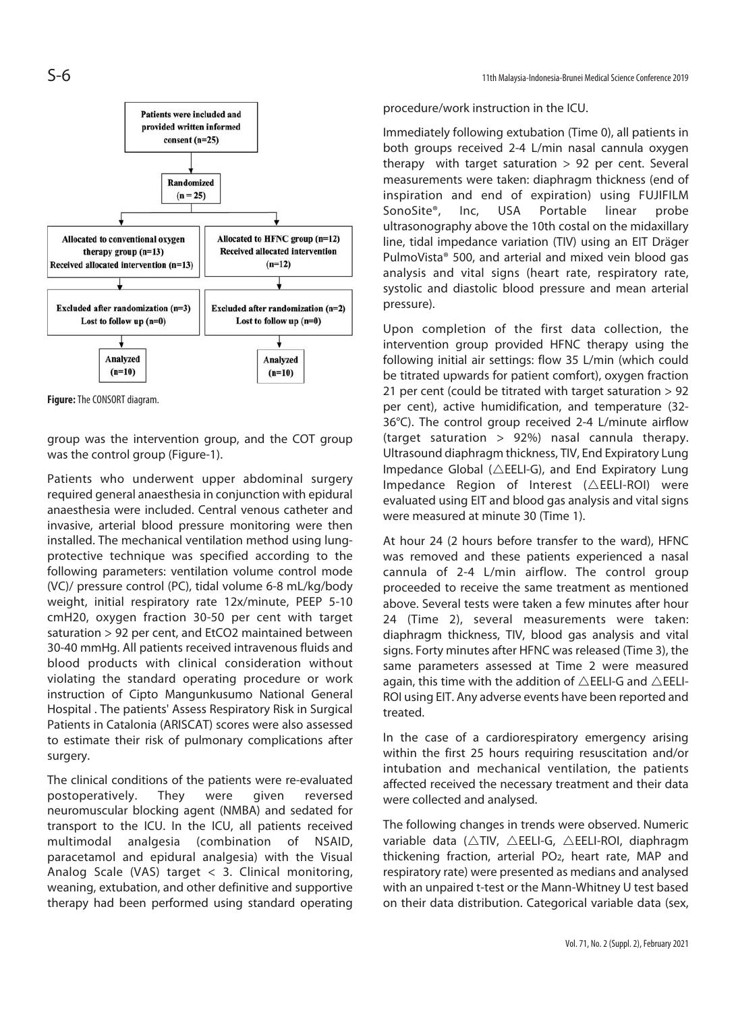

**Figure:** The CONSORT diagram.

group was the intervention group, and the COT group was the control group (Figure-1).

Patients who underwent upper abdominal surgery required general anaesthesia in conjunction with epidural anaesthesia were included. Central venous catheter and invasive, arterial blood pressure monitoring were then installed. The mechanical ventilation method using lungprotective technique was specified according to the following parameters: ventilation volume control mode (VC)/ pressure control (PC), tidal volume 6-8 mL/kg/body weight, initial respiratory rate 12x/minute, PEEP 5-10 cmH20, oxygen fraction 30-50 per cent with target saturation > 92 per cent, and EtCO2 maintained between 30-40 mmHg. All patients received intravenous fluids and blood products with clinical consideration without violating the standard operating procedure or work instruction of Cipto Mangunkusumo National General Hospital . The patients' Assess Respiratory Risk in Surgical Patients in Catalonia (ARISCAT) scores were also assessed to estimate their risk of pulmonary complications after surgery.

The clinical conditions of the patients were re-evaluated postoperatively. They were given reversed neuromuscular blocking agent (NMBA) and sedated for transport to the ICU. In the ICU, all patients received multimodal analgesia (combination of NSAID, paracetamol and epidural analgesia) with the Visual Analog Scale (VAS) target < 3. Clinical monitoring, weaning, extubation, and other definitive and supportive therapy had been performed using standard operating

procedure/work instruction in the ICU.

Immediately following extubation (Time 0), all patients in both groups received 2-4 L/min nasal cannula oxygen therapy with target saturation  $> 92$  per cent. Several measurements were taken: diaphragm thickness (end of inspiration and end of expiration) using FUJIFILM SonoSite®, Inc, USA Portable linear probe ultrasonography above the 10th costal on the midaxillary line, tidal impedance variation (TIV) using an EIT Dräger PulmoVista® 500, and arterial and mixed vein blood gas analysis and vital signs (heart rate, respiratory rate, systolic and diastolic blood pressure and mean arterial pressure).

Upon completion of the first data collection, the intervention group provided HFNC therapy using the following initial air settings: flow 35 L/min (which could be titrated upwards for patient comfort), oxygen fraction 21 per cent (could be titrated with target saturation > 92 per cent), active humidification, and temperature (32- 36°C). The control group received 2-4 L/minute airflow (target saturation > 92%) nasal cannula therapy. Ultrasound diaphragm thickness, TIV, End Expiratory Lung Impedance Global ( $\triangle$ EELI-G), and End Expiratory Lung Impedance Region of Interest  $(\triangle EELI-ROI)$  were evaluated using EIT and blood gas analysis and vital signs were measured at minute 30 (Time 1).

At hour 24 (2 hours before transfer to the ward), HFNC was removed and these patients experienced a nasal cannula of 2-4 L/min airflow. The control group proceeded to receive the same treatment as mentioned above. Several tests were taken a few minutes after hour 24 (Time 2), several measurements were taken: diaphragm thickness, TIV, blood gas analysis and vital signs. Forty minutes after HFNC was released (Time 3), the same parameters assessed at Time 2 were measured again, this time with the addition of  $\triangle$  EELI-G and  $\triangle$  EELI-ROI using EIT. Any adverse events have been reported and treated.

In the case of a cardiorespiratory emergency arising within the first 25 hours requiring resuscitation and/or intubation and mechanical ventilation, the patients affected received the necessary treatment and their data were collected and analysed.

The following changes in trends were observed. Numeric variable data ( $\triangle TIV$ ,  $\triangle EELI-G$ ,  $\triangle EELI-ROI$ , diaphragm thickening fraction, arterial PO2, heart rate, MAP and respiratory rate) were presented as medians and analysed with an unpaired t-test or the Mann-Whitney U test based on their data distribution. Categorical variable data (sex,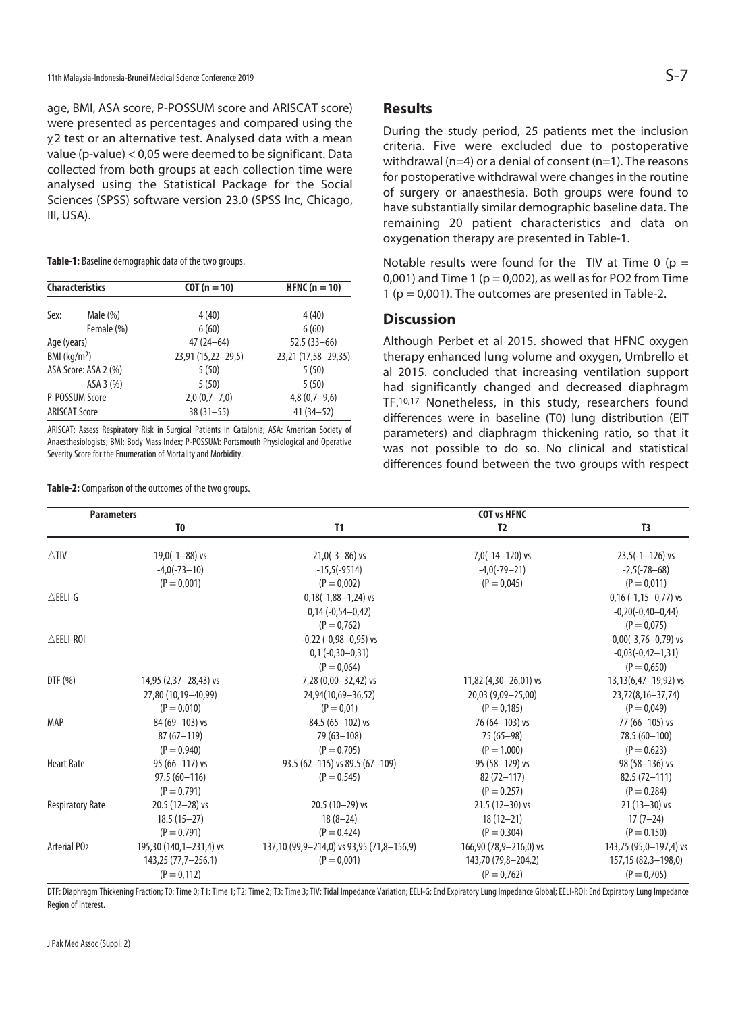age, BMI, ASA score, P-POSSUM score and ARISCAT score) were presented as percentages and compared using the  $\chi$ 2 test or an alternative test. Analysed data with a mean value (p-value) < 0,05 were deemed to be significant. Data collected from both groups at each collection time were analysed using the Statistical Package for the Social Sciences (SPSS) software version 23.0 (SPSS Inc, Chicago, III, USA).

**Table-1:** Baseline demographic data of the two groups.

| <b>Characteristics</b>   |             | $COT (n = 10)$     | HFNC $(n = 10)$     |  |
|--------------------------|-------------|--------------------|---------------------|--|
| Sex:                     | Male $(\%)$ | 4(40)              | 4(40)               |  |
|                          | Female (%)  | 6(60)              | 6(60)               |  |
| Age (years)              |             | $47(24 - 64)$      | $52.5(33-66)$       |  |
| BMl (kg/m <sup>2</sup> ) |             | 23,91 (15,22-29,5) | 23,21 (17,58-29,35) |  |
| ASA Score: ASA 2 (%)     |             | 5(50)              | 5(50)               |  |
|                          | ASA 3 (%)   | 5(50)              | 5(50)               |  |
| P-POSSUM Score           |             | $2,0(0,7-7,0)$     | $4,8(0,7-9,6)$      |  |
| <b>ARISCAT Score</b>     |             | $38(31 - 55)$      | $41(34 - 52)$       |  |

ARISCAT: Assess Respiratory Risk in Surgical Patients in Catalonia; ASA: American Society of Anaesthesiologists; BMI: Body Mass Index; P-POSSUM: Portsmouth Physiological and Operative Severity Score for the Enumeration of Mortality and Morbidity.

**Table-2:** Comparison of the outcomes of the two groups.

#### **Results**

During the study period, 25 patients met the inclusion criteria. Five were excluded due to postoperative withdrawal (n=4) or a denial of consent (n=1). The reasons for postoperative withdrawal were changes in the routine of surgery or anaesthesia. Both groups were found to have substantially similar demographic baseline data. The remaining 20 patient characteristics and data on oxygenation therapy are presented in Table-1.

Notable results were found for the TIV at Time 0 ( $p =$ 0,001) and Time 1 ( $p = 0.002$ ), as well as for PO2 from Time 1 ( $p = 0.001$ ). The outcomes are presented in Table-2.

# **Discussion**

Although Perbet et al 2015. showed that HFNC oxygen therapy enhanced lung volume and oxygen, Umbrello et al 2015. concluded that increasing ventilation support had significantly changed and decreased diaphragm TF.10,17 Nonetheless, in this study, researchers found differences were in baseline (T0) lung distribution (EIT parameters) and diaphragm thickening ratio, so that it was not possible to do so. No clinical and statistical differences found between the two groups with respect

| <b>Parameters</b>        |                           | <b>COT vs HFNC</b>                        |                        |                        |
|--------------------------|---------------------------|-------------------------------------------|------------------------|------------------------|
|                          | T <sub>0</sub>            | T1                                        | T <sub>2</sub>         | T <sub>3</sub>         |
| $\triangle TIV$          | $19,0(-1-88)$ vs          | $21,0(-3-86)$ vs                          | $7,0(-14-120)$ vs      |                        |
|                          |                           |                                           |                        | $23,5(-1-126)$ vs      |
|                          | $-4,0(-73-10)$            | $-15,5(-9514)$                            | $-4,0(-79-21)$         | $-2,5(-78-68)$         |
|                          | $(P = 0.001)$             | $(P = 0.002)$                             | $(P = 0.045)$          | $(P = 0.011)$          |
| $\triangle$ EELI-G       |                           | $0,18(-1,88-1,24)$ vs                     |                        | $0,16(-1,15-0,77)$ vs  |
|                          |                           | $0,14(-0,54-0,42)$                        |                        | $-0,20(-0,40-0,44)$    |
|                          |                           | $(P = 0.762)$                             |                        | $(P = 0.075)$          |
| $\triangle$ EELI-ROI     |                           | $-0,22$ ( $-0,98-0,95$ ) vs               |                        | $-0,00(-3,76-0,79)$ vs |
|                          |                           | $0,1(-0,30-0,31)$                         |                        | $-0,03(-0,42-1,31)$    |
|                          |                           | $(P = 0.064)$                             |                        | $(P = 0.650)$          |
| DTF(%)                   | $14,95$ $(2,37-28,43)$ vs | 7,28 (0,00-32,42) vs                      | 11,82 (4,30-26,01) vs  | $13,13(6,47-19,92)$ vs |
|                          | 27,80 (10,19-40,99)       | 24,94(10,69-36,52)                        | 20,03 (9,09-25,00)     | 23,72(8,16-37,74)      |
|                          | $(P = 0.010)$             | $(P = 0.01)$                              | $(P = 0.185)$          | $(P = 0.049)$          |
| <b>MAP</b>               | 84 (69-103) vs            | $84.5(65 - 102)$ vs                       | 76 (64-103) vs         | 77 (66-105) vs         |
|                          | $87(67 - 119)$            | 79 (63 - 108)                             | 75 (65-98)             | 78.5 (60-100)          |
|                          | $(P = 0.940)$             | $(P = 0.705)$                             | $(P = 1.000)$          | $(P = 0.623)$          |
| <b>Heart Rate</b>        | 95 (66-117) vs            | 93.5 (62-115) vs 89.5 (67-109)            | 95 (58-129) vs         | 98 (58-136) vs         |
|                          | $97.5(60 - 116)$          | $(P = 0.545)$                             | 82 (72-117)            | $82.5(72 - 111)$       |
|                          | $(P = 0.791)$             |                                           | $(P = 0.257)$          | $(P = 0.284)$          |
| <b>Respiratory Rate</b>  | $20.5(12-28)$ vs          | $20.5(10-29)$ vs                          | $21.5(12-30)$ vs       | $21(13-30)$ vs         |
|                          | $18.5(15-27)$             | $18(8-24)$                                | $18(12 - 21)$          | $17(7-24)$             |
|                          | $(P = 0.791)$             | $(P = 0.424)$                             | $(P = 0.304)$          | $(P = 0.150)$          |
| Arterial PO <sub>2</sub> | 195,30 (140,1-231,4) vs   | 137,10 (99,9-214,0) vs 93,95 (71,8-156,9) | 166,90 (78,9-216,0) vs | 143,75 (95,0-197,4) vs |
|                          | 143,25 (77,7-256,1)       | $(P = 0.001)$                             | 143,70 (79,8-204,2)    | 157,15 (82,3-198,0)    |
|                          | $(P = 0, 112)$            |                                           | $(P = 0.762)$          | $(P = 0.705)$          |

DTF: Diaphragm Thickening Fraction; T0: Time 0; T1: Time 1; T2: Time 2; T3: Time 3; TIV: Tidal Impedance Variation; EELI-G: End Expiratory Lung Impedance Global; EELI-ROI: End Expiratory Lung Impedance Global; EELI-ROI: En Region of Interest.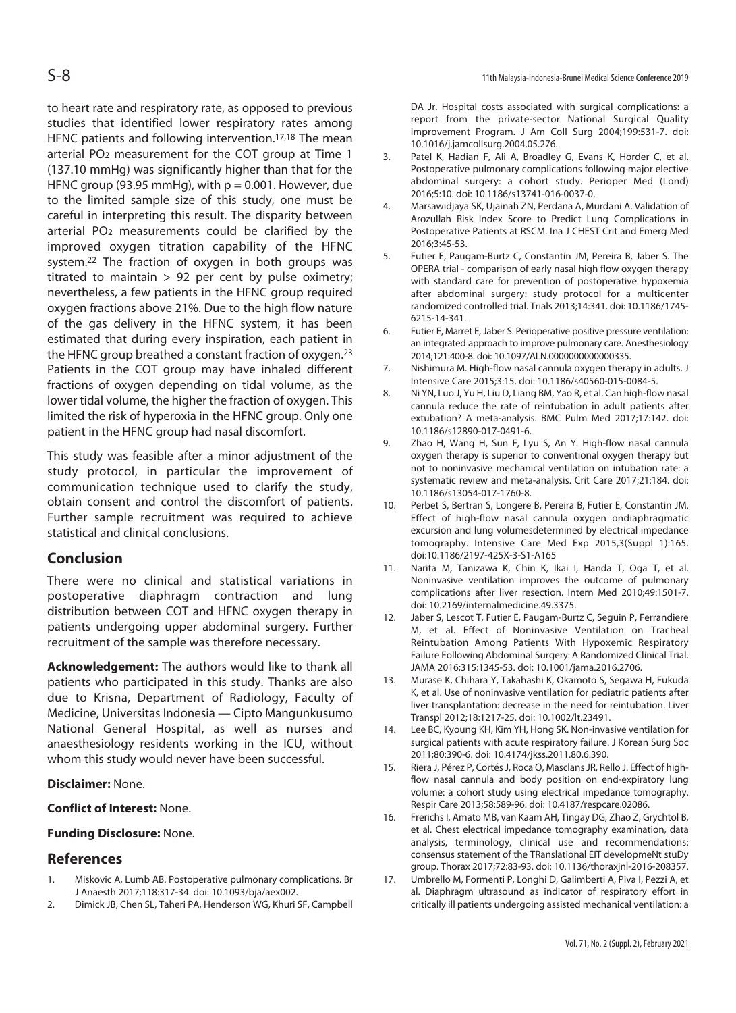to heart rate and respiratory rate, as opposed to previous studies that identified lower respiratory rates among HFNC patients and following intervention.17,18 The mean arterial PO2 measurement for the COT group at Time 1 (137.10 mmHg) was significantly higher than that for the HFNC group (93.95 mmHg), with  $p = 0.001$ . However, due to the limited sample size of this study, one must be careful in interpreting this result. The disparity between arterial PO2 measurements could be clarified by the improved oxygen titration capability of the HFNC system.22 The fraction of oxygen in both groups was titrated to maintain  $> 92$  per cent by pulse oximetry; nevertheless, a few patients in the HFNC group required oxygen fractions above 21%. Due to the high flow nature of the gas delivery in the HFNC system, it has been estimated that during every inspiration, each patient in the HFNC group breathed a constant fraction of oxygen.23 Patients in the COT group may have inhaled different fractions of oxygen depending on tidal volume, as the lower tidal volume, the higher the fraction of oxygen. This limited the risk of hyperoxia in the HFNC group. Only one patient in the HFNC group had nasal discomfort.

This study was feasible after a minor adjustment of the study protocol, in particular the improvement of communication technique used to clarify the study, obtain consent and control the discomfort of patients. Further sample recruitment was required to achieve statistical and clinical conclusions.

# **Conclusion**

There were no clinical and statistical variations in postoperative diaphragm contraction and lung distribution between COT and HFNC oxygen therapy in patients undergoing upper abdominal surgery. Further recruitment of the sample was therefore necessary.

**Acknowledgement:** The authors would like to thank all patients who participated in this study. Thanks are also due to Krisna, Department of Radiology, Faculty of Medicine, Universitas Indonesia — Cipto Mangunkusumo National General Hospital, as well as nurses and anaesthesiology residents working in the ICU, without whom this study would never have been successful.

### **Disclaimer:** None.

### **Conflict of Interest:** None.

### **Funding Disclosure:** None.

# **References**

- 1. Miskovic A, Lumb AB. Postoperative pulmonary complications. Br J Anaesth 2017;118:317-34. doi: 10.1093/bja/aex002.
- 2. Dimick JB, Chen SL, Taheri PA, Henderson WG, Khuri SF, Campbell

DA Jr. Hospital costs associated with surgical complications: a report from the private-sector National Surgical Quality Improvement Program. J Am Coll Surg 2004;199:531-7. doi: 10.1016/j.jamcollsurg.2004.05.276.

- 3. Patel K, Hadian F, Ali A, Broadley G, Evans K, Horder C, et al. Postoperative pulmonary complications following major elective abdominal surgery: a cohort study. Perioper Med (Lond) 2016;5:10. doi: 10.1186/s13741-016-0037-0.
- 4. Marsawidjaya SK, Ujainah ZN, Perdana A, Murdani A. Validation of Arozullah Risk Index Score to Predict Lung Complications in Postoperative Patients at RSCM. Ina J CHEST Crit and Emerg Med 2016;3:45-53.
- 5. Futier E, Paugam-Burtz C, Constantin JM, Pereira B, Jaber S. The OPERA trial - comparison of early nasal high flow oxygen therapy with standard care for prevention of postoperative hypoxemia after abdominal surgery: study protocol for a multicenter randomized controlled trial. Trials 2013;14:341. doi: 10.1186/1745- 6215-14-341.
- 6. Futier E, Marret E, Jaber S. Perioperative positive pressure ventilation: an integrated approach to improve pulmonary care. Anesthesiology 2014;121:400-8. doi: 10.1097/ALN.0000000000000335.
- 7. Nishimura M. High-flow nasal cannula oxygen therapy in adults. J Intensive Care 2015;3:15. doi: 10.1186/s40560-015-0084-5.
- 8. Ni YN, Luo J, Yu H, Liu D, Liang BM, Yao R, et al. Can high-flow nasal cannula reduce the rate of reintubation in adult patients after extubation? A meta-analysis. BMC Pulm Med 2017;17:142. doi: 10.1186/s12890-017-0491-6.
- 9. Zhao H, Wang H, Sun F, Lyu S, An Y. High-flow nasal cannula oxygen therapy is superior to conventional oxygen therapy but not to noninvasive mechanical ventilation on intubation rate: a systematic review and meta-analysis. Crit Care 2017;21:184. doi: 10.1186/s13054-017-1760-8.
- 10. Perbet S, Bertran S, Longere B, Pereira B, Futier E, Constantin JM. Effect of high-flow nasal cannula oxygen ondiaphragmatic excursion and lung volumesdetermined by electrical impedance tomography. Intensive Care Med Exp 2015,3(Suppl 1):165. doi:10.1186/2197-425X-3-S1-A165
- 11. Narita M, Tanizawa K, Chin K, Ikai I, Handa T, Oga T, et al. Noninvasive ventilation improves the outcome of pulmonary complications after liver resection. Intern Med 2010;49:1501-7. doi: 10.2169/internalmedicine.49.3375.
- 12. Jaber S, Lescot T, Futier E, Paugam-Burtz C, Seguin P, Ferrandiere M, et al. Effect of Noninvasive Ventilation on Tracheal Reintubation Among Patients With Hypoxemic Respiratory Failure Following Abdominal Surgery: A Randomized Clinical Trial. JAMA 2016;315:1345-53. doi: 10.1001/jama.2016.2706.
- 13. Murase K, Chihara Y, Takahashi K, Okamoto S, Segawa H, Fukuda K, et al. Use of noninvasive ventilation for pediatric patients after liver transplantation: decrease in the need for reintubation. Liver Transpl 2012;18:1217-25. doi: 10.1002/lt.23491.
- 14. Lee BC, Kyoung KH, Kim YH, Hong SK. Non-invasive ventilation for surgical patients with acute respiratory failure. J Korean Surg Soc 2011;80:390-6. doi: 10.4174/jkss.2011.80.6.390.
- 15. Riera J, Pérez P, Cortés J, Roca O, Masclans JR, Rello J. Effect of highflow nasal cannula and body position on end-expiratory lung volume: a cohort study using electrical impedance tomography. Respir Care 2013;58:589-96. doi: 10.4187/respcare.02086.
- 16. Frerichs I, Amato MB, van Kaam AH, Tingay DG, Zhao Z, Grychtol B, et al. Chest electrical impedance tomography examination, data analysis, terminology, clinical use and recommendations: consensus statement of the TRanslational EIT developmeNt stuDy group. Thorax 2017;72:83-93. doi: 10.1136/thoraxjnl-2016-208357.
- 17. Umbrello M, Formenti P, Longhi D, Galimberti A, Piva I, Pezzi A, et al. Diaphragm ultrasound as indicator of respiratory effort in critically ill patients undergoing assisted mechanical ventilation: a